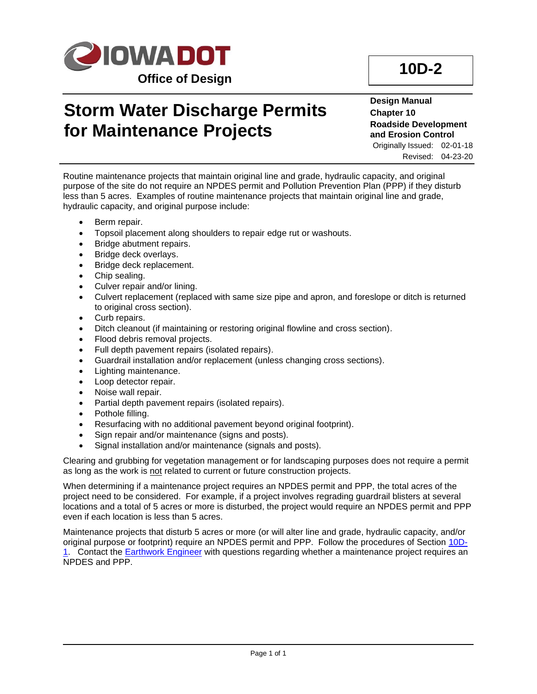

## **Storm Water Discharge Permits for Maintenance Projects**

**Design Manual Chapter 10 Roadside Development and Erosion Control**

Originally Issued: 02-01-18 Revised: 04-23-20

Routine maintenance projects that maintain original line and grade, hydraulic capacity, and original purpose of the site do not require an NPDES permit and Pollution Prevention Plan (PPP) if they disturb less than 5 acres. Examples of routine maintenance projects that maintain original line and grade, hydraulic capacity, and original purpose include:

- Berm repair.
- Topsoil placement along shoulders to repair edge rut or washouts.
- Bridge abutment repairs.
- Bridge deck overlays.
- Bridge deck replacement.
- Chip sealing.
- Culver repair and/or lining.
- Culvert replacement (replaced with same size pipe and apron, and foreslope or ditch is returned to original cross section).
- Curb repairs.
- Ditch cleanout (if maintaining or restoring original flowline and cross section).
- Flood debris removal projects.
- Full depth pavement repairs (isolated repairs).
- Guardrail installation and/or replacement (unless changing cross sections).
- Lighting maintenance.
- Loop detector repair.
- Noise wall repair.
- Partial depth pavement repairs (isolated repairs).
- Pothole filling.
- Resurfacing with no additional pavement beyond original footprint).
- Sign repair and/or maintenance (signs and posts).
- Signal installation and/or maintenance (signals and posts).

Clearing and grubbing for vegetation management or for landscaping purposes does not require a permit as long as the work is not related to current or future construction projects.

When determining if a maintenance project requires an NPDES permit and PPP, the total acres of the project need to be considered. For example, if a project involves regrading guardrail blisters at several locations and a total of 5 acres or more is disturbed, the project would require an NPDES permit and PPP even if each location is less than 5 acres.

Maintenance projects that disturb 5 acres or more (or will alter line and grade, hydraulic capacity, and/or original purpose or footprint) require an NPDES permit and PPP. Follow the procedures of Section [10D-](10D-01.pdf)[1.](10D-01.pdf) Contact the [Earthwork Engineer](01B-02/EarthworkEngineer.pdf) with questions regarding whether a maintenance project requires an NPDES and PPP.